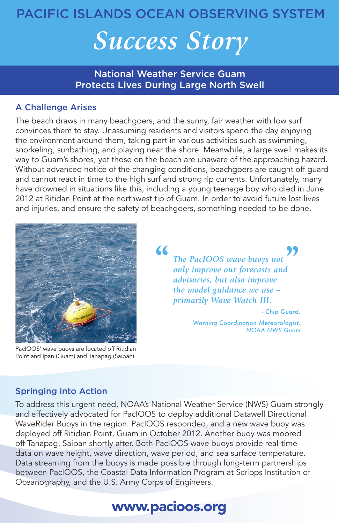# PACIFIC ISLANDS OCEAN OBSERVING SYSTEM

# *Success Story*

National Weather Service Guam Protects Lives During Large North Swell

## A Challenge Arises

The beach draws in many beachgoers, and the sunny, fair weather with low surf convinces them to stay. Unassuming residents and visitors spend the day enjoying the environment around them, taking part in various activities such as swimming, snorkeling, sunbathing, and playing near the shore. Meanwhile, a large swell makes its way to Guam's shores, yet those on the beach are unaware of the approaching hazard. Without advanced notice of the changing conditions, beachgoers are caught off guard and cannot react in time to the high surf and strong rip currents. Unfortunately, many have drowned in situations like this, including a young teenage boy who died in June 2012 at Ritidan Point at the northwest tip of Guam. In order to avoid future lost lives and injuries, and ensure the safety of beachgoers, something needed to be done.



PacIOOS' wave buoys are located off Ritidian Point and Ipan (Guam) and Tanapag (Saipan).

*The PacIOOS wave buoys not only improve our forecasts and advisories, but also improve the model guidance we use – primarily Wave Watch III. - Chip Guard,*  **Some the Second Property The PacIOOS wave buoys not only improve our forecasts and advisories, but also improve** 

> *Warning Coordination Meteorologist, NOAA NWS Guam*

### Springing into Action

To address this urgent need, NOAA's National Weather Service (NWS) Guam strongly and effectively advocated for PacIOOS to deploy additional Datawell Directional WaveRider Buoys in the region. PacIOOS responded, and a new wave buoy was deployed off Ritidian Point, Guam in October 2012. Another buoy was moored off Tanapag, Saipan shortly after. Both PacIOOS wave buoys provide real-time data on wave height, wave direction, wave period, and sea surface temperature. Data streaming from the buoys is made possible through long-term partnerships between PacIOOS, the Coastal Data Information Program at Scripps Institution of Oceanography, and the U.S. Army Corps of Engineers.

# www.pacioos.org